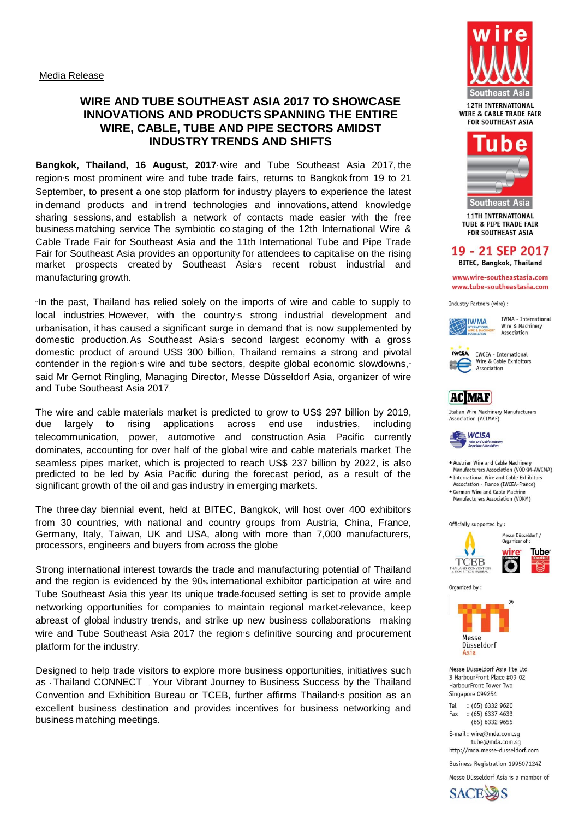### **WIRE AND TUBE SOUTHEAST ASIA 2017 TO SHOWCASE INNOVATIONS AND PRODUCTS SPANNING THE ENTIRE WIRE, CABLE, TUBE AND PIPE SECTORS AMIDST INDUSTRY TRENDS AND SHIFTS**

**Bangkok, Thailand, 16 August, 2017**: wire and Tube Southeast Asia 2017, the region's most prominent wire and tube trade fairs, returns to Bangkok from 19 to 21 September, to present a one-stop platform for industry players to experience the latest in-demand products and in-trend technologies and innovations, attend knowledge sharing sessions, and establish a network of contacts made easier with the free business matching service. The symbiotic co-staging of the 12th International Wire & Cable Trade Fair for Southeast Asia and the 11th International Tube and Pipe Trade Fair for Southeast Asia provides an opportunity for attendees to capitalise on the rising market prospects created by Southeast Asia's recent robust industrial and manufacturing growth.

"In the past, Thailand has relied solely on the imports of wire and cable to supply to local industries. However, with the country's strong industrial development and urbanisation, it has caused a significant surge in demand that is now supplemented by domestic production. As Southeast Asia's second largest economy with a gross domestic product of around US\$ 300 billion, Thailand remains a strong and pivotal contender in the region's wire and tube sectors, despite global economic slowdowns," said Mr Gernot Ringling, Managing Director, Messe Düsseldorf Asia, organizer of wire and Tube Southeast Asia 2017.

The wire and cable materials market is predicted to grow to US\$ 297 billion by 2019, due largely to rising applications across end-use industries, including telecommunication, power, automotive and construction. Asia Pacific currently dominates, accounting for over half of the global wire and cable materials market. The seamless pipes market, which is projected to reach US\$ 237 billion by 2022, is also predicted to be led by Asia Pacific during the forecast period, as a result of the significant growth of the oil and gas industry in emerging markets.

The three-day biennial event, held at BITEC, Bangkok, will host over 400 exhibitors from 30 countries, with national and country groups from Austria, China, France, Germany, Italy, Taiwan, UK and USA, along with more than 7,000 manufacturers, processors, engineers and buyers from across the globe.

Strong international interest towards the trade and manufacturing potential of Thailand and the region is evidenced by the 90% international exhibitor participation at wire and Tube Southeast Asia this year. Its unique trade-focused setting is set to provide ample networking opportunities for companies to maintain regional market-relevance, keep abreast of global industry trends, and strike up new business collaborations – making wire and Tube Southeast Asia 2017 the region's definitive sourcing and procurement platform for the industry.

Designed to help trade visitors to explore more business opportunities, initiatives such as - Thailand CONNECT …Your Vibrant Journey to Business Success by the Thailand Convention and Exhibition Bureau or TCEB, further affirms Thailand's position as an excellent business destination and provides incentives for business networking and business-matching meetings.





**11TH INTERNATIONAL TUBE & PIPE TRADE FAIR FOR SOUTHEAST ASIA** 

#### 19 - 21 SEP 2017 **BITEC, Bangkok, Thailand**

www.wire-southeastasia.com

www.tube-southeastasia.com

Industry Partners (wire) :



IWMA - International Wire & Machinery Association



**IWCEA - International** Wire & Cable Exhibitors Association

# **AC**MAF

Italian Wire Machinery Manufacturers Association (ACIMAF)



. Austrian Wire and Cable Machinery Manufacturers Association (VÖDKM-AWCMA)

- · International Wire and Cable Exhibitors Association - France (IWCEA-France)
- · German Wire and Cable Machine Manufacturers Association (VDKM)

Officially supported by :



Organized by:



Messe Düsseldorf Asia Pte Ltd 3 HarbourFront Place #09-02 HarbourFront Tower Two Singapore 099254

Tel  $:(65) 6332 9620$  $:(65) 6337 4633$ Fax  $(65)$  6332 9655

E-mail: wire@mda.com.sg tube@mda.com.sg http://mda.messe-dusseldorf.com

Business Registration 199507124Z

Messe Düsseldorf Asia is a member of

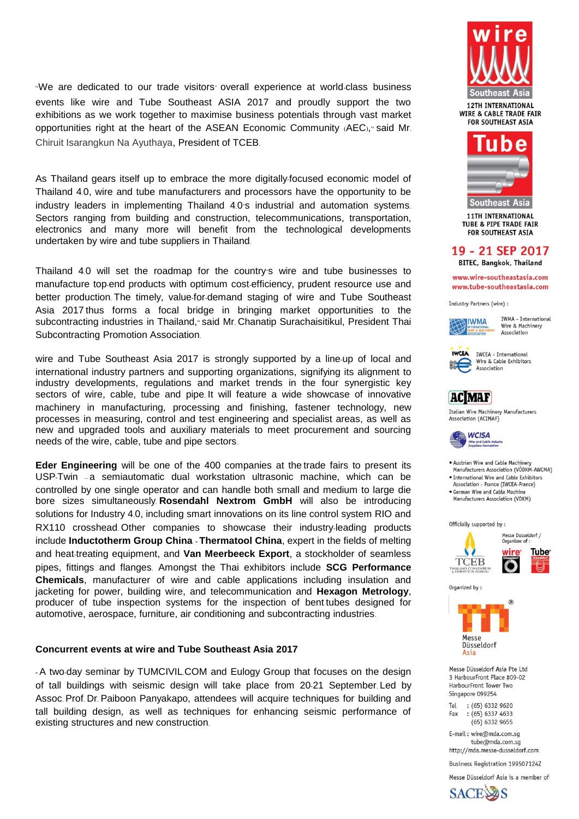"We are dedicated to our trade visitors' overall experience at world-class business events like wire and Tube Southeast ASIA 2017 and proudly support the two exhibitions as we work together to maximise business potentials through vast market opportunities right at the heart of the ASEAN Economic Community (AEC)," said Mr. Chiruit Isarangkun Na Ayuthaya, President of TCEB.

As Thailand gears itself up to embrace the more digitally-focused economic model of Thailand 4.0, wire and tube manufacturers and processors have the opportunity to be industry leaders in implementing Thailand 4.0's industrial and automation systems. Sectors ranging from building and construction, telecommunications, transportation, electronics and many more will benefit from the technological developments undertaken by wire and tube suppliers in Thailand.

Thailand 4.0 will set the roadmap for the country's wire and tube businesses to manufacture top-end products with optimum cost-efficiency, prudent resource use and better production. The timely, value-for-demand staging of wire and Tube Southeast Asia 2017 thus forms a focal bridge in bringing market opportunities to the subcontracting industries in Thailand," said Mr. Chanatip Surachaisitikul, President Thai Subcontracting Promotion Association.

wire and Tube Southeast Asia 2017 is strongly supported by a line-up of local and international industry partners and supporting organizations, signifying its alignment to industry developments, regulations and market trends in the four synergistic key sectors of wire, cable, tube and pipe. It will feature a wide showcase of innovative machinery in manufacturing, processing and finishing, fastener technology, new processes in measuring, control and test engineering and specialist areas, as well as new and upgraded tools and auxiliary materials to meet procurement and sourcing needs of the wire, cable, tube and pipe sectors.

**Eder Engineering** will be one of the 400 companies at the trade fairs to present its USP-Twin – a semiautomatic dual workstation ultrasonic machine, which can be controlled by one single operator and can handle both small and medium to large die bore sizes simultaneously. **Rosendahl Nextrom GmbH** will also be introducing solutions for Industry 4.0, including smart innovations on its line control system RIO and RX110 crosshead. Other companies to showcase their industry-leading products include **Inductotherm Group China - Thermatool China**, expert in the fields of melting and heat-treating equipment, and **Van Meerbeeck Export**, a stockholder of seamless pipes, fittings and flanges. Amongst the Thai exhibitors include **SCG Performance Chemicals**, manufacturer of wire and cable applications including insulation and jacketing for power, building wire, and telecommunication and **Hexagon Metrology**, producer of tube inspection systems for the inspection of bent tubes designed for automotive, aerospace, furniture, air conditioning and subcontracting industries.

#### **Concurrent events at wire and Tube Southeast Asia 2017**

**-** A two-day seminar by TUMCIVIL.COM and Eulogy Group that focuses on the design of tall buildings with seismic design will take place from 20-21 September. Led by Assoc. Prof. Dr. Paiboon Panyakapo, attendees will acquire techniques for building and tall building design, as well as techniques for enhancing seismic performance of existing structures and new construction.





**11TH INTERNATIONAL TUBE & PIPE TRADE FAIR FOR SOUTHEAST ASIA** 

### 19 - 21 SEP 2017

**BITEC, Bangkok, Thailand** 

www.wire-southeastasia.com www.tube-southeastasia.com

Industry Partners (wire) :



IWMA - International Wire & Machinery Association



**IWCEA IWCEA** - International Wire & Cable Exhibitors Association

## **AC**MAF

Italian Wire Machinery Manufacturers Association (ACIMAF)



. Austrian Wire and Cable Machinery Manufacturers Association (VÖDKM-AWCMA)

· International Wire and Cable Exhibitors Association - France (IWCEA-France) · German Wire and Cable Machine Manufacturers Association (VDKM)

Officially supported by :



Organized by:

Asia



Messe Düsseldorf Asia Pte Ltd 3 HarbourFront Place #09-02 HarbourFront Tower Two Singapore 099254

Tel  $:(65) 6332 9620$  $:(65) 6337 4633$ Fax  $(65)$  6332 9655

E-mail: wire@mda.com.sg tube@mda.com.sg http://mda.messe-dusseldorf.com

Business Registration 199507124Z

Messe Düsseldorf Asia is a member of